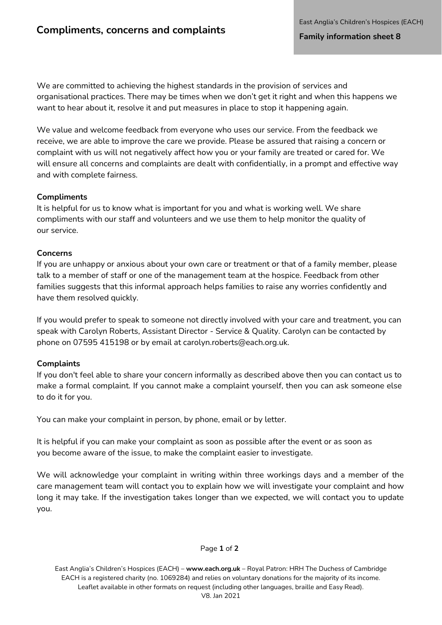We are committed to achieving the highest standards in the provision of services and organisational practices. There may be times when we don't get it right and when this happens we want to hear about it, resolve it and put measures in place to stop it happening again.

We value and welcome feedback from everyone who uses our service. From the feedback we receive, we are able to improve the care we provide. Please be assured that raising a concern or complaint with us will not negatively affect how you or your family are treated or cared for. We will ensure all concerns and complaints are dealt with confidentially, in a prompt and effective way and with complete fairness.

# **Compliments**

It is helpful for us to know what is important for you and what is working well. We share compliments with our staff and volunteers and we use them to help monitor the quality of our service.

### **Concerns**

If you are unhappy or anxious about your own care or treatment or that of a family member, please talk to a member of staff or one of the management team at the hospice. Feedback from other families suggests that this informal approach helps families to raise any worries confidently and have them resolved quickly.

If you would prefer to speak to someone not directly involved with your care and treatment, you can speak with Carolyn Roberts, Assistant Director - Service & Quality. Carolyn can be contacted by phone on 07595 415198 or by ema[il at carolyn.roberts@each.org.uk.](mailto:carolyn.roberts@each.org.uk)

# **Complaints**

If you don't feel able to share your concern informally as described above then you can contact us to make a formal complaint. If you cannot make a complaint yourself, then you can ask someone else to do it for you.

You can make your complaint in person, by phone, email or by letter.

It is helpful if you can make your complaint as soon as possible after the event or as soon as you become aware of the issue, to make the complaint easier to investigate.

We will acknowledge your complaint in writing within three workings days and a member of the care management team will contact you to explain how we will investigate your complaint and how long it may take. If the investigation takes longer than we expected, we will contact you to update you.

### Page **1** of **2**

East Anglia's Children's Hospices (EACH) – **[www.each.org.uk](http://www.each.org.uk/)** – Royal Patron: HRH The Duchess of Cambridge EACH is a registered charity (no. 1069284) and relies on voluntary donations for the majority of its income. Leaflet available in other formats on request (including other languages, braille and Easy Read). V8. Jan 2021